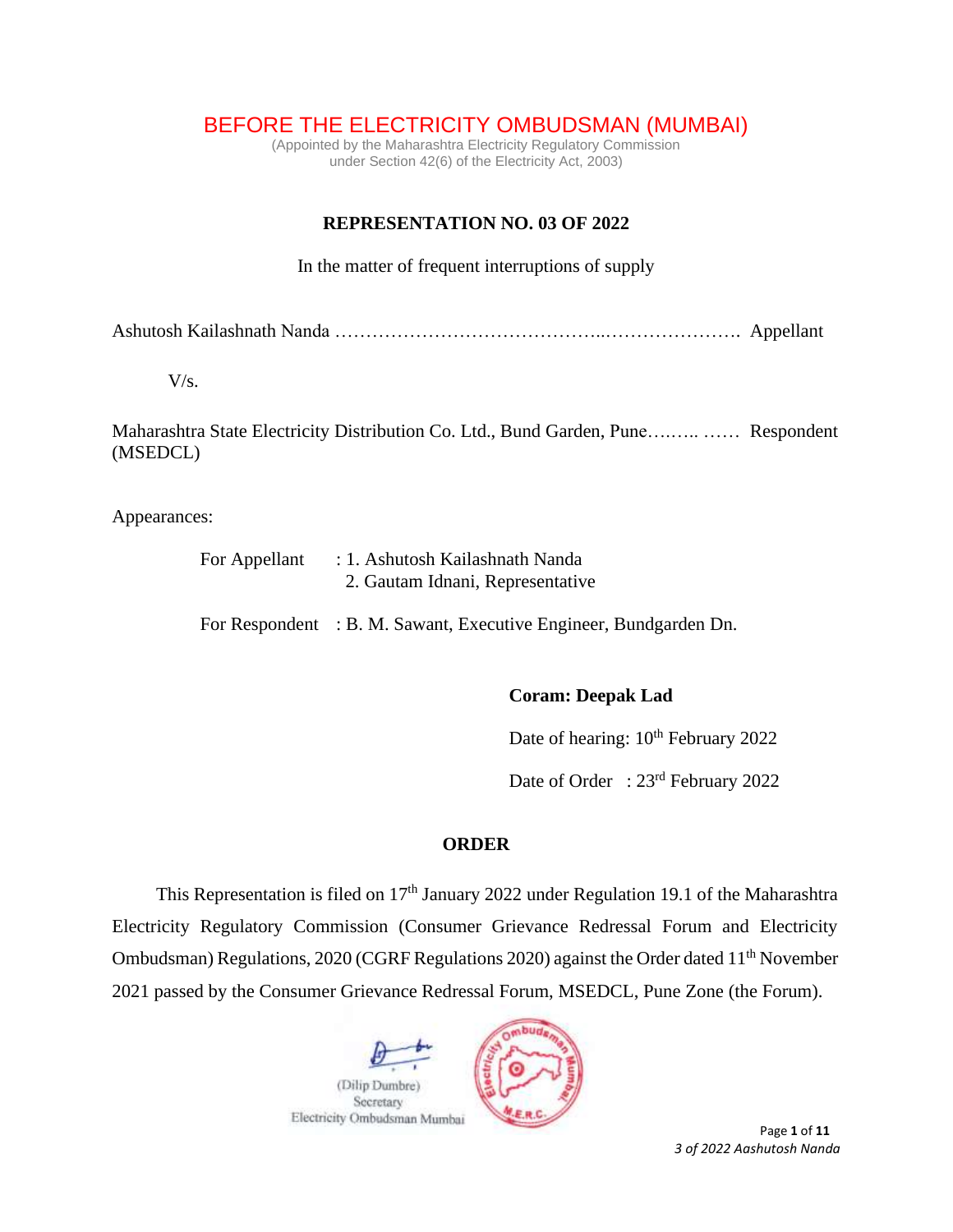# BEFORE THE ELECTRICITY OMBUDSMAN (MUMBAI)

(Appointed by the Maharashtra Electricity Regulatory Commission under Section 42(6) of the Electricity Act, 2003)

## **REPRESENTATION NO. 03 OF 2022**

In the matter of frequent interruptions of supply

Ashutosh Kailashnath Nanda ……………………………………..…………………. Appellant

V/s.

Maharashtra State Electricity Distribution Co. Ltd., Bund Garden, Pune….….. …… Respondent (MSEDCL)

Appearances:

| For Appellant | : 1. Ashutosh Kailashnath Nanda<br>2. Gautam Idnani, Representative |  |  |  |
|---------------|---------------------------------------------------------------------|--|--|--|
|               | For Respondent : B. M. Sawant, Executive Engineer, Bundgarden Dn.   |  |  |  |

### **Coram: Deepak Lad**

Date of hearing:  $10^{th}$  February 2022

Date of Order : 23<sup>rd</sup> February 2022

### **ORDER**

This Representation is filed on  $17<sup>th</sup>$  January 2022 under Regulation 19.1 of the Maharashtra Electricity Regulatory Commission (Consumer Grievance Redressal Forum and Electricity Ombudsman) Regulations, 2020 (CGRF Regulations 2020) against the Order dated 11<sup>th</sup> November 2021 passed by the Consumer Grievance Redressal Forum, MSEDCL, Pune Zone (the Forum).

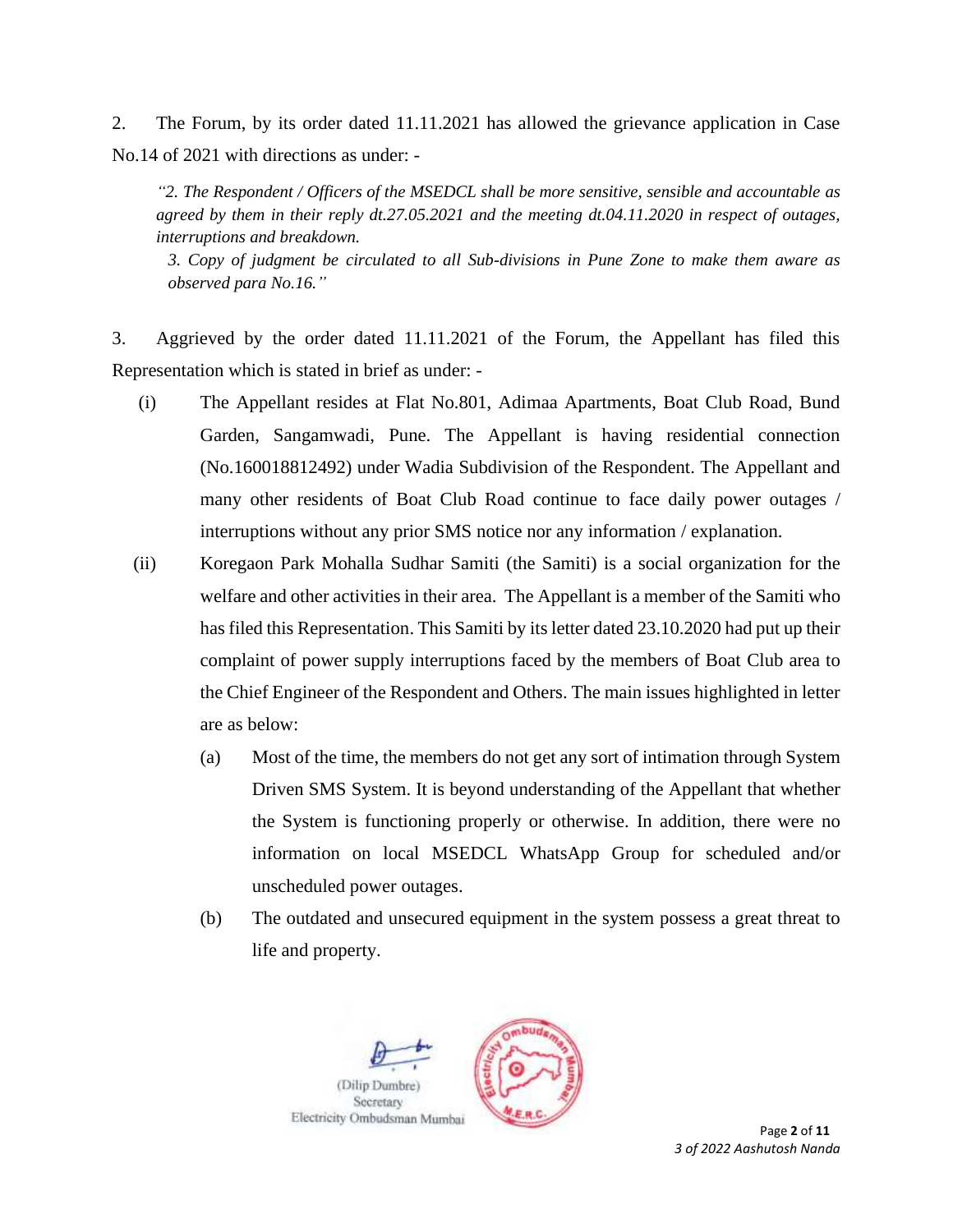2. The Forum, by its order dated 11.11.2021 has allowed the grievance application in Case No.14 of 2021 with directions as under: -

*"2. The Respondent / Officers of the MSEDCL shall be more sensitive, sensible and accountable as agreed by them in their reply dt.27.05.2021 and the meeting dt.04.11.2020 in respect of outages, interruptions and breakdown.*

*3. Copy of judgment be circulated to all Sub-divisions in Pune Zone to make them aware as observed para No.16."*

3. Aggrieved by the order dated 11.11.2021 of the Forum, the Appellant has filed this Representation which is stated in brief as under: -

- (i) The Appellant resides at Flat No.801, Adimaa Apartments, Boat Club Road, Bund Garden, Sangamwadi, Pune. The Appellant is having residential connection (No.160018812492) under Wadia Subdivision of the Respondent. The Appellant and many other residents of Boat Club Road continue to face daily power outages / interruptions without any prior SMS notice nor any information / explanation.
- (ii) Koregaon Park Mohalla Sudhar Samiti (the Samiti) is a social organization for the welfare and other activities in their area. The Appellant is a member of the Samiti who has filed this Representation. This Samiti by its letter dated 23.10.2020 had put up their complaint of power supply interruptions faced by the members of Boat Club area to the Chief Engineer of the Respondent and Others. The main issues highlighted in letter are as below:
	- (a) Most of the time, the members do not get any sort of intimation through System Driven SMS System. It is beyond understanding of the Appellant that whether the System is functioning properly or otherwise. In addition, there were no information on local MSEDCL WhatsApp Group for scheduled and/or unscheduled power outages.
	- (b) The outdated and unsecured equipment in the system possess a great threat to life and property.

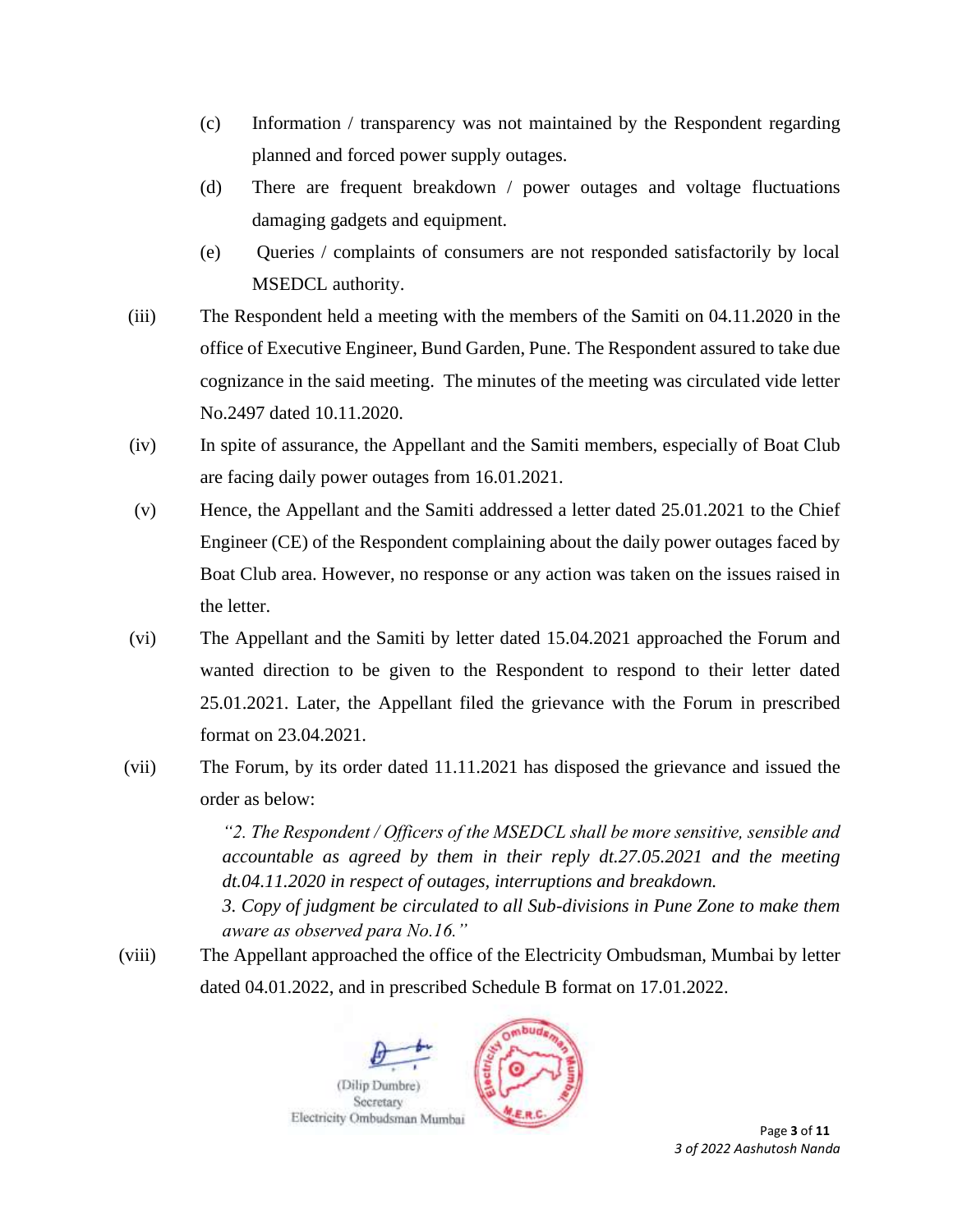- (c) Information / transparency was not maintained by the Respondent regarding planned and forced power supply outages.
- (d) There are frequent breakdown / power outages and voltage fluctuations damaging gadgets and equipment.
- (e) Queries / complaints of consumers are not responded satisfactorily by local MSEDCL authority.
- (iii) The Respondent held a meeting with the members of the Samiti on 04.11.2020 in the office of Executive Engineer, Bund Garden, Pune. The Respondent assured to take due cognizance in the said meeting. The minutes of the meeting was circulated vide letter No.2497 dated 10.11.2020.
- (iv) In spite of assurance, the Appellant and the Samiti members, especially of Boat Club are facing daily power outages from 16.01.2021.
- (v) Hence, the Appellant and the Samiti addressed a letter dated 25.01.2021 to the Chief Engineer (CE) of the Respondent complaining about the daily power outages faced by Boat Club area. However, no response or any action was taken on the issues raised in the letter.
- (vi) The Appellant and the Samiti by letter dated 15.04.2021 approached the Forum and wanted direction to be given to the Respondent to respond to their letter dated 25.01.2021. Later, the Appellant filed the grievance with the Forum in prescribed format on 23.04.2021.
- (vii) The Forum, by its order dated 11.11.2021 has disposed the grievance and issued the order as below:

*"2. The Respondent / Officers of the MSEDCL shall be more sensitive, sensible and accountable as agreed by them in their reply dt.27.05.2021 and the meeting dt.04.11.2020 in respect of outages, interruptions and breakdown.*

*3. Copy of judgment be circulated to all Sub-divisions in Pune Zone to make them aware as observed para No.16."*

(viii) The Appellant approached the office of the Electricity Ombudsman, Mumbai by letter dated 04.01.2022, and in prescribed Schedule B format on 17.01.2022.



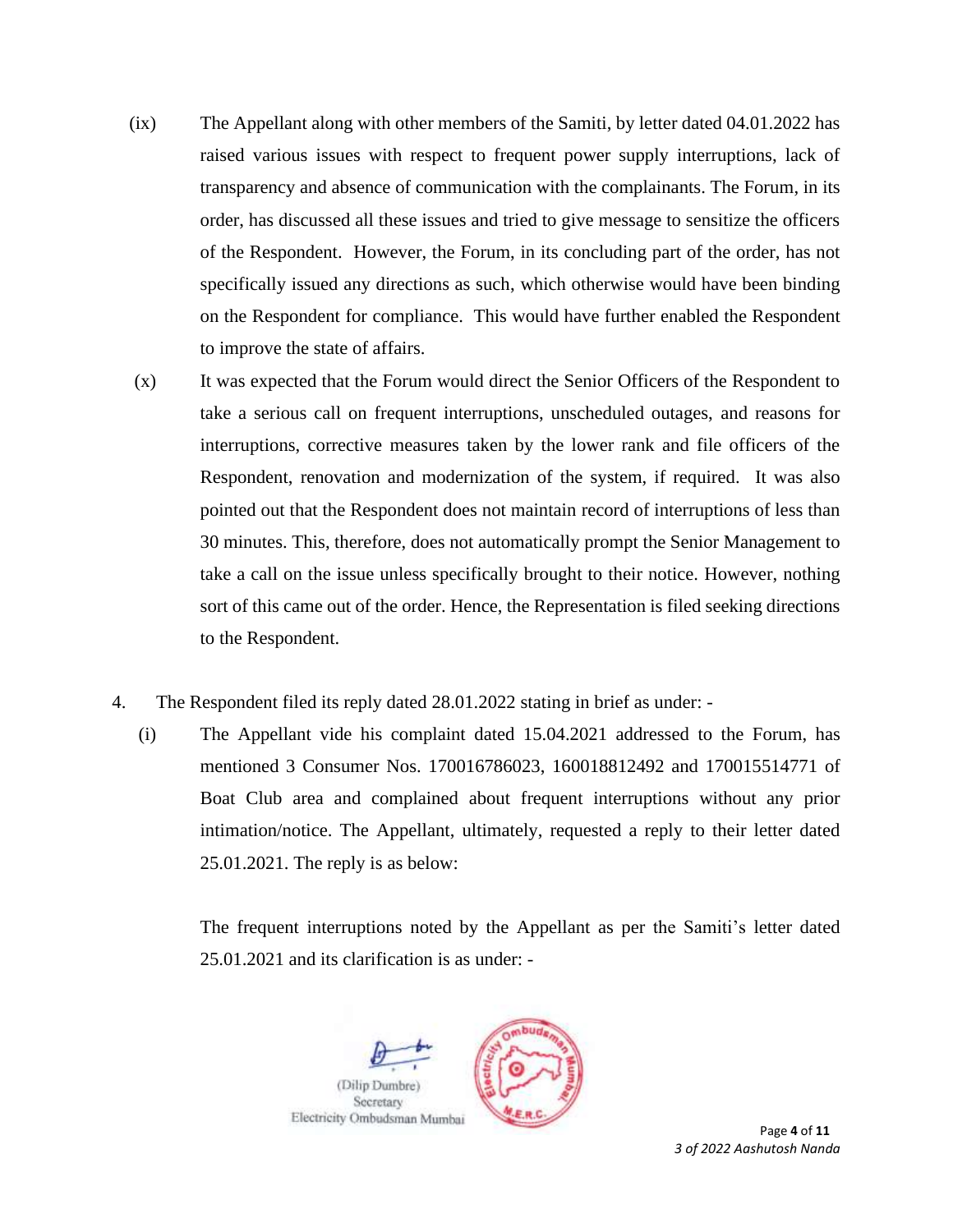- (ix) The Appellant along with other members of the Samiti, by letter dated 04.01.2022 has raised various issues with respect to frequent power supply interruptions, lack of transparency and absence of communication with the complainants. The Forum, in its order, has discussed all these issues and tried to give message to sensitize the officers of the Respondent. However, the Forum, in its concluding part of the order, has not specifically issued any directions as such, which otherwise would have been binding on the Respondent for compliance. This would have further enabled the Respondent to improve the state of affairs.
- (x) It was expected that the Forum would direct the Senior Officers of the Respondent to take a serious call on frequent interruptions, unscheduled outages, and reasons for interruptions, corrective measures taken by the lower rank and file officers of the Respondent, renovation and modernization of the system, if required. It was also pointed out that the Respondent does not maintain record of interruptions of less than 30 minutes. This, therefore, does not automatically prompt the Senior Management to take a call on the issue unless specifically brought to their notice. However, nothing sort of this came out of the order. Hence, the Representation is filed seeking directions to the Respondent.
- 4. The Respondent filed its reply dated 28.01.2022 stating in brief as under:
	- (i) The Appellant vide his complaint dated 15.04.2021 addressed to the Forum, has mentioned 3 Consumer Nos. 170016786023, 160018812492 and 170015514771 of Boat Club area and complained about frequent interruptions without any prior intimation/notice. The Appellant, ultimately, requested a reply to their letter dated 25.01.2021. The reply is as below:

The frequent interruptions noted by the Appellant as per the Samiti's letter dated 25.01.2021 and its clarification is as under: -

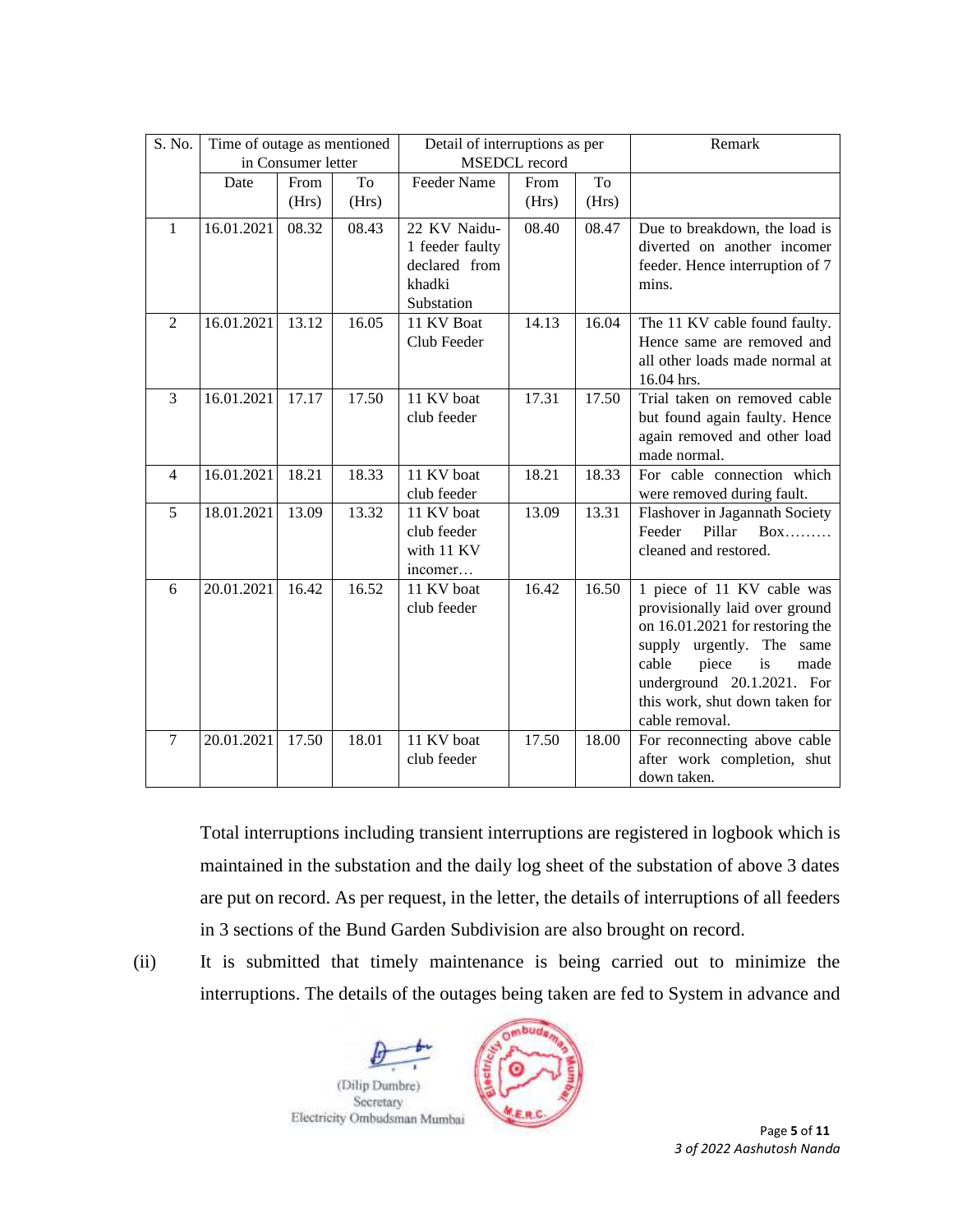| S. No. | Time of outage as mentioned |                    |       | Detail of interruptions as per                                           |       |       | Remark                                                                                                                                                                                                                                         |
|--------|-----------------------------|--------------------|-------|--------------------------------------------------------------------------|-------|-------|------------------------------------------------------------------------------------------------------------------------------------------------------------------------------------------------------------------------------------------------|
|        |                             | in Consumer letter |       | <b>MSEDCL</b> record                                                     |       |       |                                                                                                                                                                                                                                                |
|        | Date                        | From               | To    | Feeder Name                                                              | From  | To    |                                                                                                                                                                                                                                                |
|        |                             | (Hrs)              | (Hrs) |                                                                          | (Hrs) | (Hrs) |                                                                                                                                                                                                                                                |
| 1      | 16.01.2021                  | 08.32              | 08.43 | 22 KV Naidu-<br>1 feeder faulty<br>declared from<br>khadki<br>Substation | 08.40 | 08.47 | Due to breakdown, the load is<br>diverted on another incomer<br>feeder. Hence interruption of 7<br>mins.                                                                                                                                       |
| 2      | 16.01.2021                  | 13.12              | 16.05 | 11 KV Boat<br>Club Feeder                                                | 14.13 | 16.04 | The 11 KV cable found faulty.<br>Hence same are removed and<br>all other loads made normal at<br>16.04 hrs.                                                                                                                                    |
| 3      | 16.01.2021                  | 17.17              | 17.50 | 11 KV boat<br>club feeder                                                | 17.31 | 17.50 | Trial taken on removed cable<br>but found again faulty. Hence<br>again removed and other load<br>made normal.                                                                                                                                  |
| 4      | 16.01.2021                  | 18.21              | 18.33 | 11 KV boat<br>club feeder                                                | 18.21 | 18.33 | For cable connection which<br>were removed during fault.                                                                                                                                                                                       |
| 5      | 18.01.2021                  | 13.09              | 13.32 | 11 KV boat<br>club feeder<br>with 11 KV<br>incomer                       | 13.09 | 13.31 | Flashover in Jagannath Society<br>Pillar<br>Feeder<br>$Box$<br>cleaned and restored.                                                                                                                                                           |
| 6      | 20.01.2021                  | 16.42              | 16.52 | 11 KV boat<br>club feeder                                                | 16.42 | 16.50 | 1 piece of 11 KV cable was<br>provisionally laid over ground<br>on 16.01.2021 for restoring the<br>supply urgently. The same<br>cable<br>piece<br>is<br>made<br>underground 20.1.2021. For<br>this work, shut down taken for<br>cable removal. |
| $\tau$ | 20.01.2021                  | 17.50              | 18.01 | 11 KV boat<br>club feeder                                                | 17.50 | 18.00 | For reconnecting above cable<br>after work completion, shut<br>down taken.                                                                                                                                                                     |

Total interruptions including transient interruptions are registered in logbook which is maintained in the substation and the daily log sheet of the substation of above 3 dates are put on record. As per request, in the letter, the details of interruptions of all feeders in 3 sections of the Bund Garden Subdivision are also brought on record.





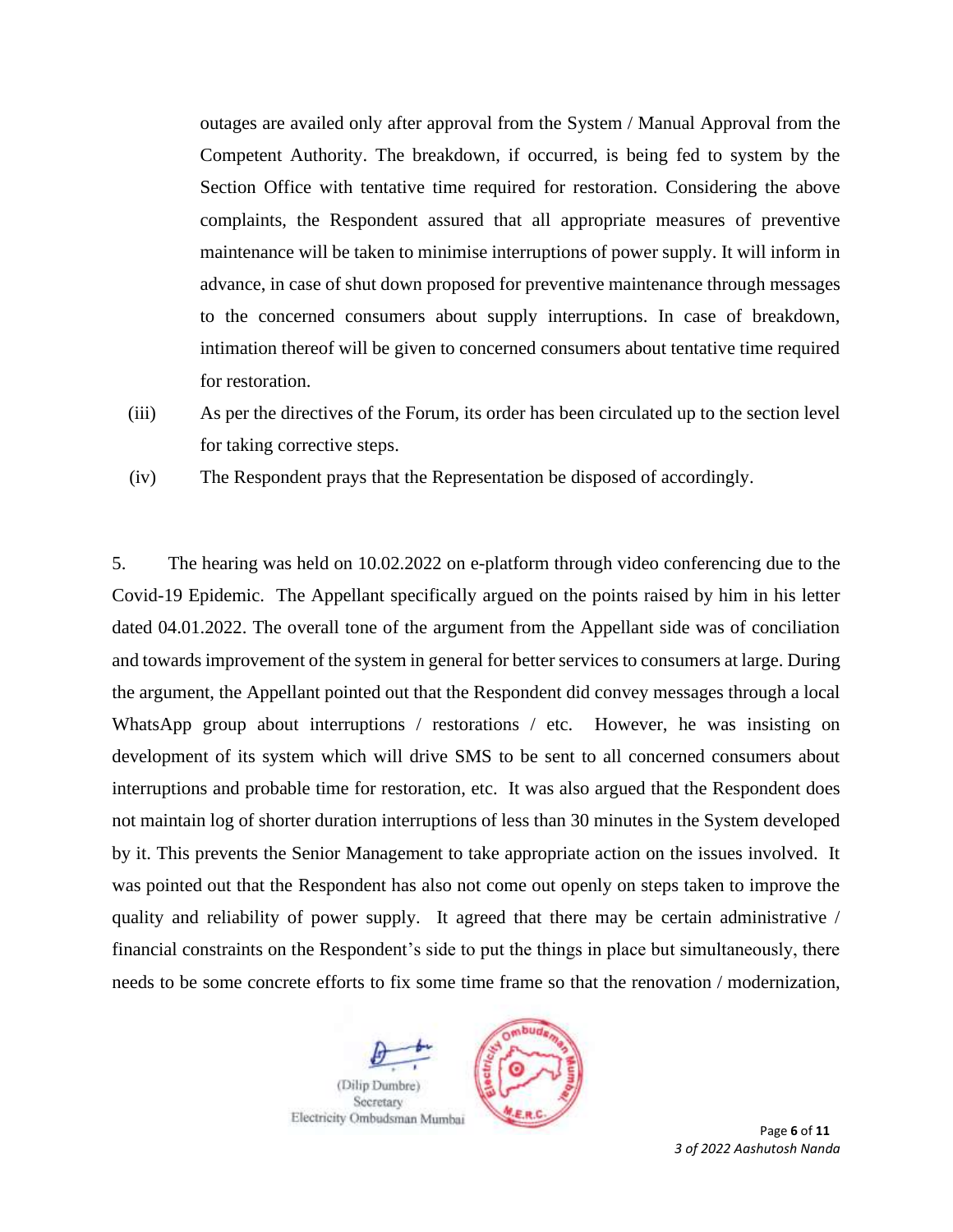outages are availed only after approval from the System / Manual Approval from the Competent Authority. The breakdown, if occurred, is being fed to system by the Section Office with tentative time required for restoration. Considering the above complaints, the Respondent assured that all appropriate measures of preventive maintenance will be taken to minimise interruptions of power supply. It will inform in advance, in case of shut down proposed for preventive maintenance through messages to the concerned consumers about supply interruptions. In case of breakdown, intimation thereof will be given to concerned consumers about tentative time required for restoration.

(iii) As per the directives of the Forum, its order has been circulated up to the section level for taking corrective steps.

(iv) The Respondent prays that the Representation be disposed of accordingly.

5. The hearing was held on 10.02.2022 on e-platform through video conferencing due to the Covid-19 Epidemic. The Appellant specifically argued on the points raised by him in his letter dated 04.01.2022. The overall tone of the argument from the Appellant side was of conciliation and towards improvement of the system in general for better services to consumers at large. During the argument, the Appellant pointed out that the Respondent did convey messages through a local WhatsApp group about interruptions / restorations / etc. However, he was insisting on development of its system which will drive SMS to be sent to all concerned consumers about interruptions and probable time for restoration, etc. It was also argued that the Respondent does not maintain log of shorter duration interruptions of less than 30 minutes in the System developed by it. This prevents the Senior Management to take appropriate action on the issues involved. It was pointed out that the Respondent has also not come out openly on steps taken to improve the quality and reliability of power supply. It agreed that there may be certain administrative / financial constraints on the Respondent's side to put the things in place but simultaneously, there needs to be some concrete efforts to fix some time frame so that the renovation / modernization,

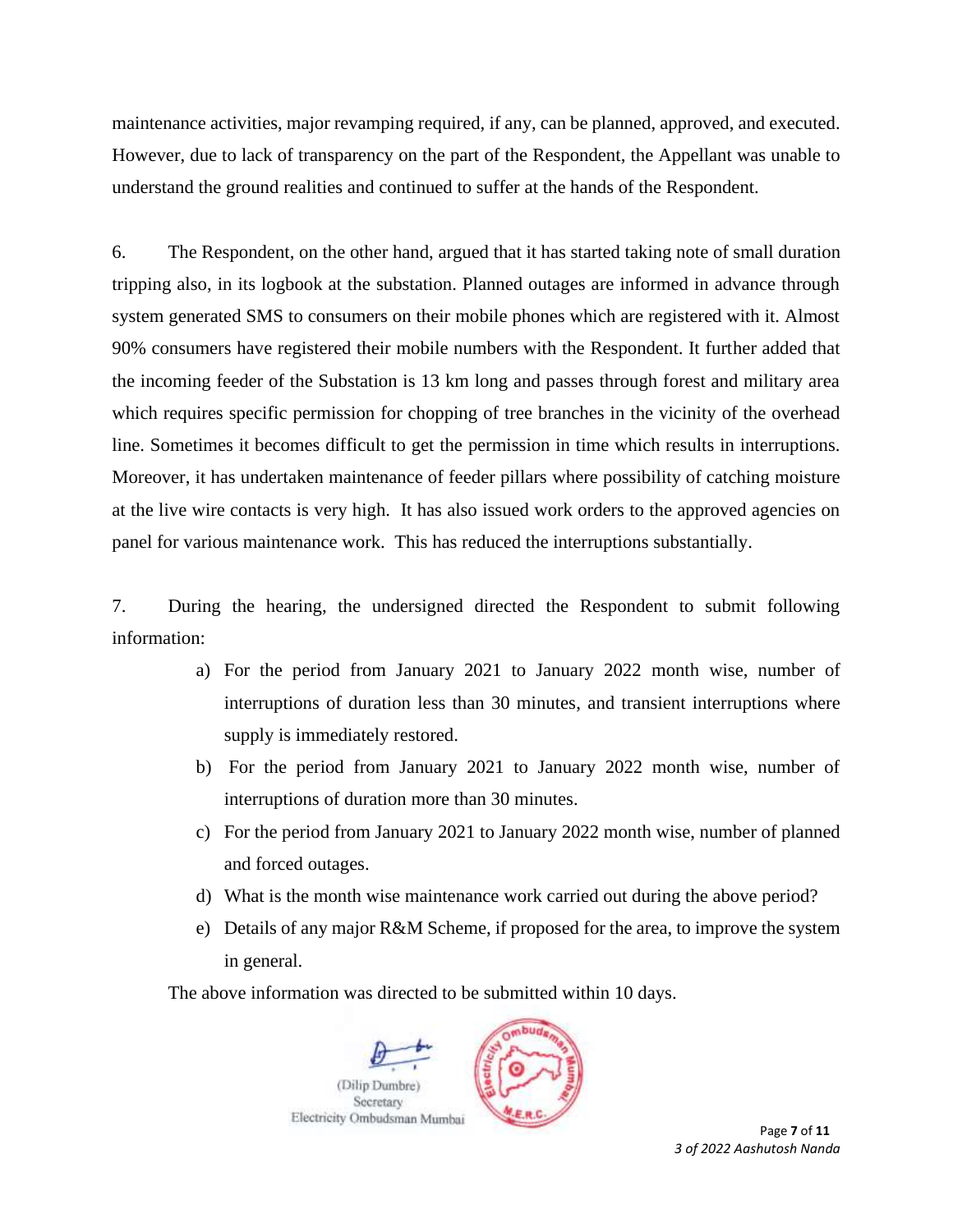maintenance activities, major revamping required, if any, can be planned, approved, and executed. However, due to lack of transparency on the part of the Respondent, the Appellant was unable to understand the ground realities and continued to suffer at the hands of the Respondent.

6. The Respondent, on the other hand, argued that it has started taking note of small duration tripping also, in its logbook at the substation. Planned outages are informed in advance through system generated SMS to consumers on their mobile phones which are registered with it. Almost 90% consumers have registered their mobile numbers with the Respondent. It further added that the incoming feeder of the Substation is 13 km long and passes through forest and military area which requires specific permission for chopping of tree branches in the vicinity of the overhead line. Sometimes it becomes difficult to get the permission in time which results in interruptions. Moreover, it has undertaken maintenance of feeder pillars where possibility of catching moisture at the live wire contacts is very high. It has also issued work orders to the approved agencies on panel for various maintenance work. This has reduced the interruptions substantially.

7. During the hearing, the undersigned directed the Respondent to submit following information:

- a) For the period from January 2021 to January 2022 month wise, number of interruptions of duration less than 30 minutes, and transient interruptions where supply is immediately restored.
- b) For the period from January 2021 to January 2022 month wise, number of interruptions of duration more than 30 minutes.
- c) For the period from January 2021 to January 2022 month wise, number of planned and forced outages.
- d) What is the month wise maintenance work carried out during the above period?
- e) Details of any major R&M Scheme, if proposed for the area, to improve the system in general.

The above information was directed to be submitted within 10 days.

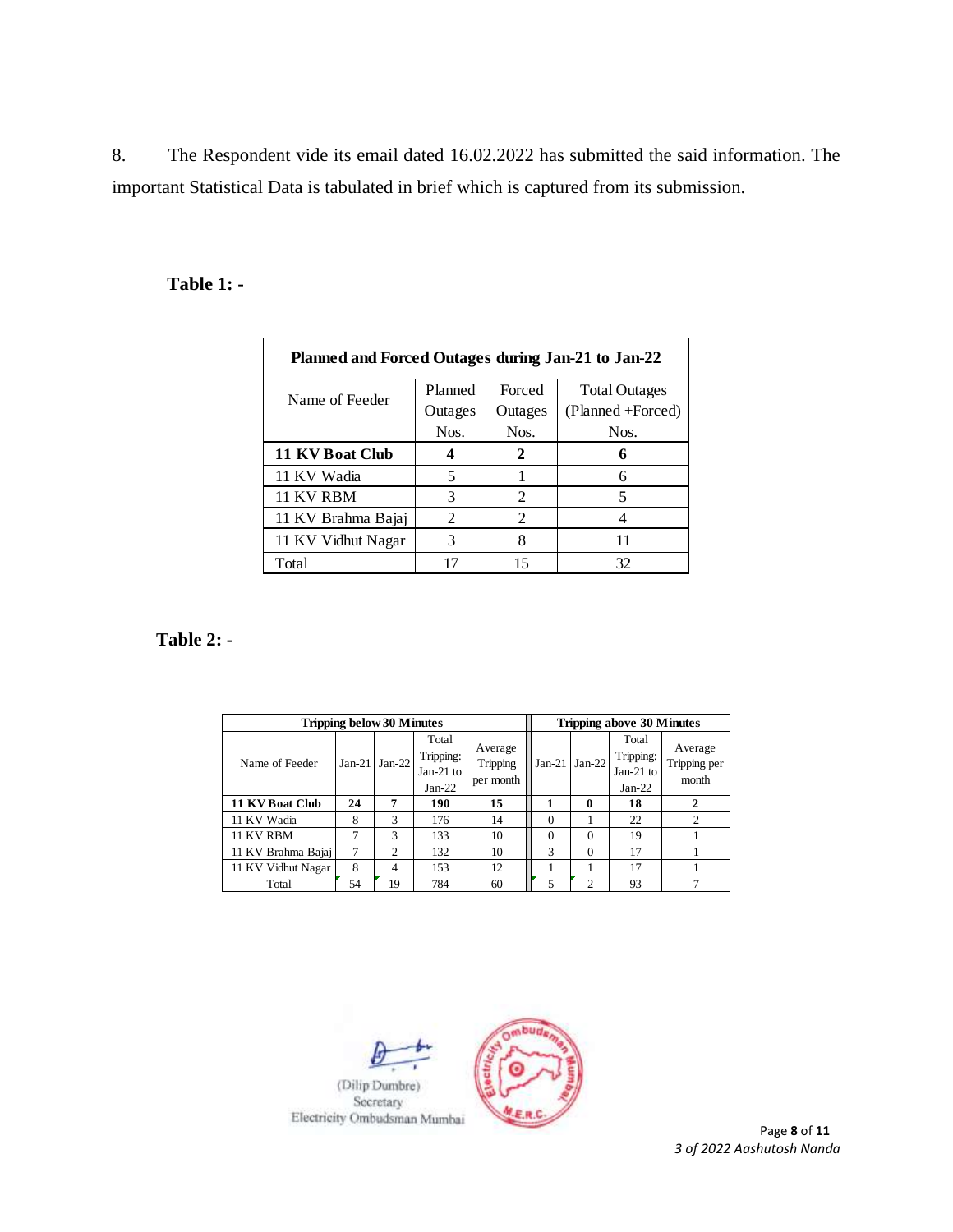8. The Respondent vide its email dated 16.02.2022 has submitted the said information. The important Statistical Data is tabulated in brief which is captured from its submission.

# **Table 1: -**

| Planned and Forced Outages during Jan-21 to Jan-22 |                |                |                      |  |  |  |  |
|----------------------------------------------------|----------------|----------------|----------------------|--|--|--|--|
| Name of Feeder                                     | Planned        | Forced         | <b>Total Outages</b> |  |  |  |  |
|                                                    | Outages        | Outages        | (Planned +Forced)    |  |  |  |  |
|                                                    | Nos.           | Nos.           | Nos.                 |  |  |  |  |
| 11 KV Boat Club                                    |                | 2              | 6                    |  |  |  |  |
| 11 KV Wadia                                        | 5              |                | 6                    |  |  |  |  |
| 11 KV RBM                                          | 3              | $\mathcal{L}$  | 5                    |  |  |  |  |
| 11 KV Brahma Bajaj                                 | $\mathfrak{D}$ | $\mathfrak{D}$ |                      |  |  |  |  |
| 11 KV Vidhut Nagar                                 | 3              | 8              |                      |  |  |  |  |
| Total                                              | 17             | 15             | 32                   |  |  |  |  |

**Table 2: -**

| Tripping below 30 Minutes |          |                |                                             |                                  |          | Tripping above 30 Minutes |                                               |                                  |  |
|---------------------------|----------|----------------|---------------------------------------------|----------------------------------|----------|---------------------------|-----------------------------------------------|----------------------------------|--|
| Name of Feeder            | $Jan-21$ | $Jan-22$       | Total<br>Tripping:<br>Jan-21 to<br>$Jan-22$ | Average<br>Tripping<br>per month | $Jan-21$ | $Jan-22$                  | Total<br>Tripping:<br>Jan-21 $to$<br>$Jan-22$ | Average<br>Tripping per<br>month |  |
| 11 KV Boat Club           | 24       | 7              | 190                                         | 15                               |          | 0                         | 18                                            | $\mathbf{2}$                     |  |
| 11 KV Wadia               | 8        | 3              | 176                                         | 14                               | $\Omega$ |                           | 22                                            | 2                                |  |
| 11 KV RBM                 | 7        | 3              | 133                                         | 10                               | $\theta$ | $\Omega$                  | 19                                            |                                  |  |
| 11 KV Brahma Bajaj        |          | $\overline{c}$ | 132                                         | 10                               | 3        | $\Omega$                  | 17                                            |                                  |  |
| 11 KV Vidhut Nagar        | 8        | 4              | 153                                         | 12                               |          |                           | 17                                            |                                  |  |
| Total                     | 54       | 19             | 784                                         | 60                               |          | 2                         | 93                                            |                                  |  |

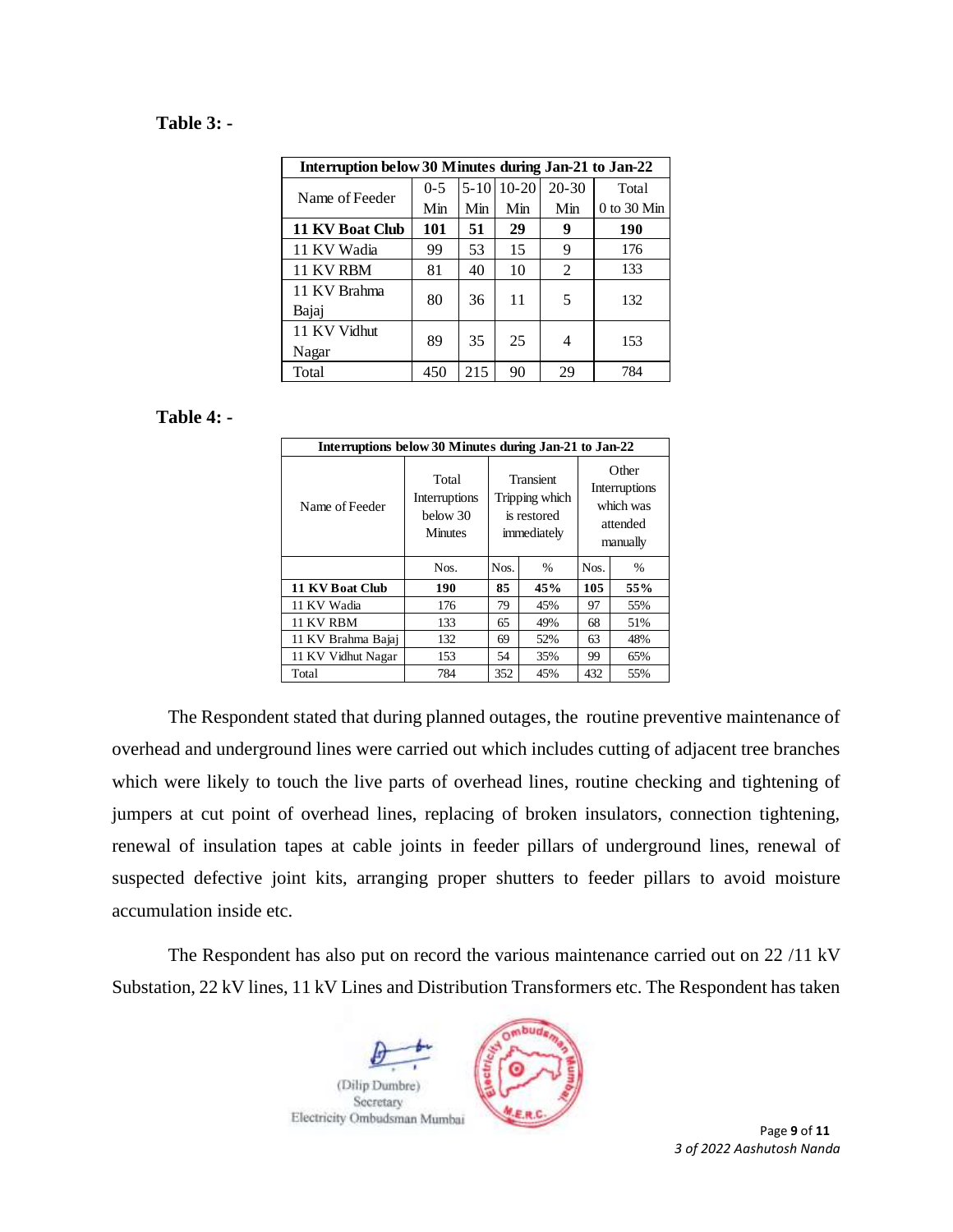### **Table 3: -**

| Interruption below 30 Minutes during Jan-21 to Jan-22 |         |          |           |           |               |  |  |
|-------------------------------------------------------|---------|----------|-----------|-----------|---------------|--|--|
| Name of Feeder                                        | $0 - 5$ | $5 - 10$ | $10 - 20$ | $20 - 30$ | Total         |  |  |
|                                                       | Min     | Min      | Min       | Min       | $0$ to 30 Min |  |  |
| 11 KV Boat Club                                       | 101     | 51       | 29        | 9         | 190           |  |  |
| 11 KV Wadia                                           | 99      | 53       | 15        | 9         | 176           |  |  |
| 11 KV RBM                                             | 81      | 40       | 10        | 2         | 133           |  |  |
| 11 KV Brahma                                          | 80      | 36       | 11        | 5         |               |  |  |
| Bajaj                                                 |         |          |           |           | 132           |  |  |
| 11 KV Vidhut                                          | 89      |          | 25        |           |               |  |  |
| Nagar                                                 |         | 35       |           | 4         | 153           |  |  |
| Total                                                 | 450     | 215      | 90        | 29        | 784           |  |  |

#### **Table 4: -**

| Interruptions below 30 Minutes during Jan-21 to Jan-22 |                                                      |                                                                  |                       |                                                             |      |  |  |  |
|--------------------------------------------------------|------------------------------------------------------|------------------------------------------------------------------|-----------------------|-------------------------------------------------------------|------|--|--|--|
| Name of Feeder                                         | Total<br>Interruptions<br>below 30<br><b>Minutes</b> | <b>Transient</b><br>Tripping which<br>is restored<br>immediately |                       | Other<br>Interruptions<br>which was<br>attended<br>manually |      |  |  |  |
|                                                        | Nos.                                                 | Nos.                                                             | Nos.<br>$\frac{0}{0}$ |                                                             | $\%$ |  |  |  |
| 11 KV Boat Club                                        | 190                                                  | 85                                                               | 45%                   | 105                                                         | 55%  |  |  |  |
| 11 KV Wadia                                            | 176                                                  | 79                                                               | 45%                   | 97                                                          | 55%  |  |  |  |
| 11 KV RBM                                              | 133                                                  | 65                                                               | 49%                   | 68                                                          | 51%  |  |  |  |
| 11 KV Brahma Bajaj                                     | 132                                                  |                                                                  | 52%                   | 63                                                          | 48%  |  |  |  |
| 11 KV Vidhut Nagar                                     | 153                                                  | 54                                                               | 35%                   | 99                                                          | 65%  |  |  |  |
| Total                                                  | 784                                                  | 352                                                              | 45%                   | 432                                                         | 55%  |  |  |  |

The Respondent stated that during planned outages, the routine preventive maintenance of overhead and underground lines were carried out which includes cutting of adjacent tree branches which were likely to touch the live parts of overhead lines, routine checking and tightening of jumpers at cut point of overhead lines, replacing of broken insulators, connection tightening, renewal of insulation tapes at cable joints in feeder pillars of underground lines, renewal of suspected defective joint kits, arranging proper shutters to feeder pillars to avoid moisture accumulation inside etc.

The Respondent has also put on record the various maintenance carried out on 22 /11 kV Substation, 22 kV lines, 11 kV Lines and Distribution Transformers etc. The Respondent has taken

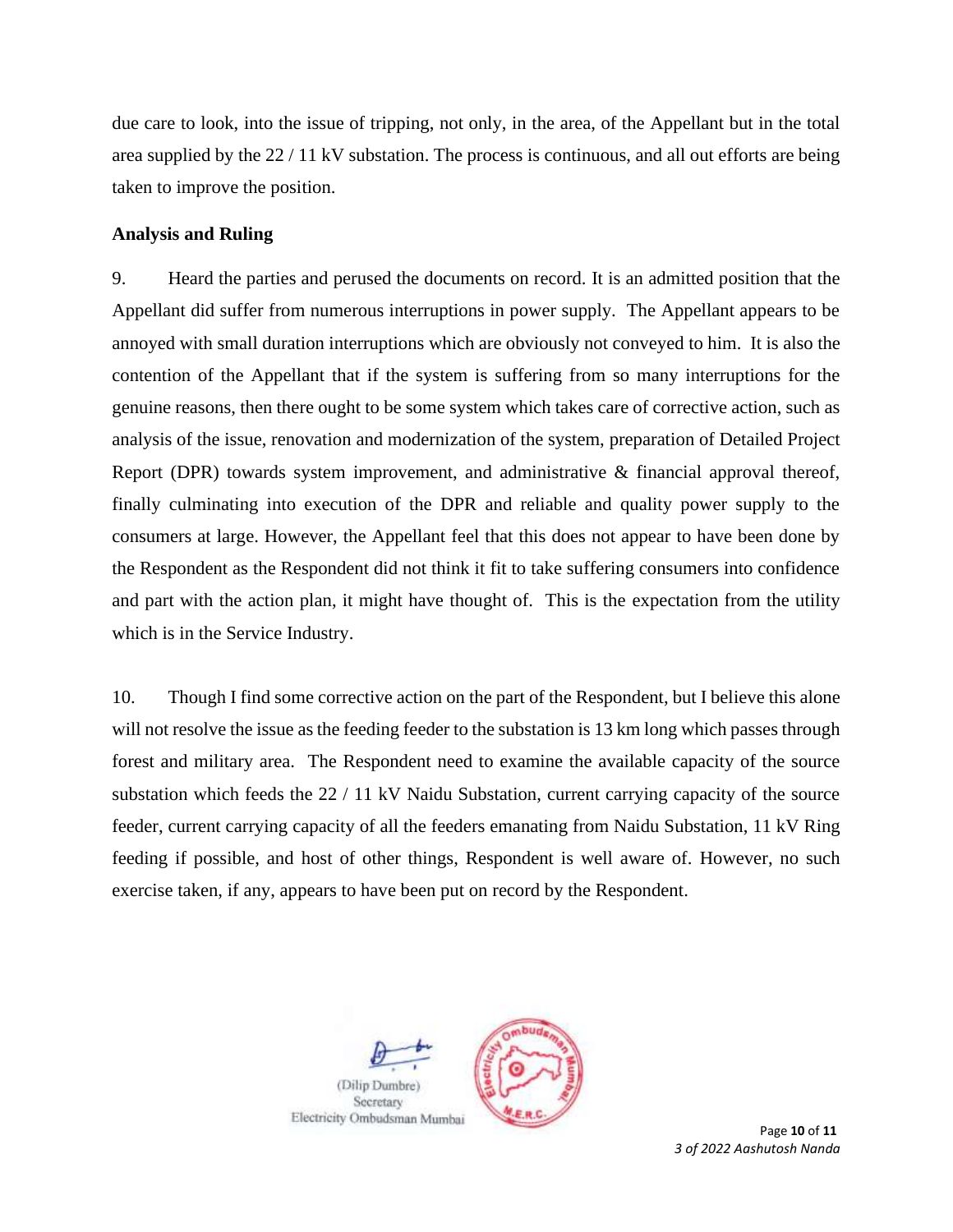due care to look, into the issue of tripping, not only, in the area, of the Appellant but in the total area supplied by the 22 / 11 kV substation. The process is continuous, and all out efforts are being taken to improve the position.

### **Analysis and Ruling**

9. Heard the parties and perused the documents on record. It is an admitted position that the Appellant did suffer from numerous interruptions in power supply. The Appellant appears to be annoyed with small duration interruptions which are obviously not conveyed to him. It is also the contention of the Appellant that if the system is suffering from so many interruptions for the genuine reasons, then there ought to be some system which takes care of corrective action, such as analysis of the issue, renovation and modernization of the system, preparation of Detailed Project Report (DPR) towards system improvement, and administrative & financial approval thereof, finally culminating into execution of the DPR and reliable and quality power supply to the consumers at large. However, the Appellant feel that this does not appear to have been done by the Respondent as the Respondent did not think it fit to take suffering consumers into confidence and part with the action plan, it might have thought of. This is the expectation from the utility which is in the Service Industry.

10. Though I find some corrective action on the part of the Respondent, but I believe this alone will not resolve the issue as the feeding feeder to the substation is 13 km long which passes through forest and military area. The Respondent need to examine the available capacity of the source substation which feeds the 22 / 11 kV Naidu Substation, current carrying capacity of the source feeder, current carrying capacity of all the feeders emanating from Naidu Substation, 11 kV Ring feeding if possible, and host of other things, Respondent is well aware of. However, no such exercise taken, if any, appears to have been put on record by the Respondent.